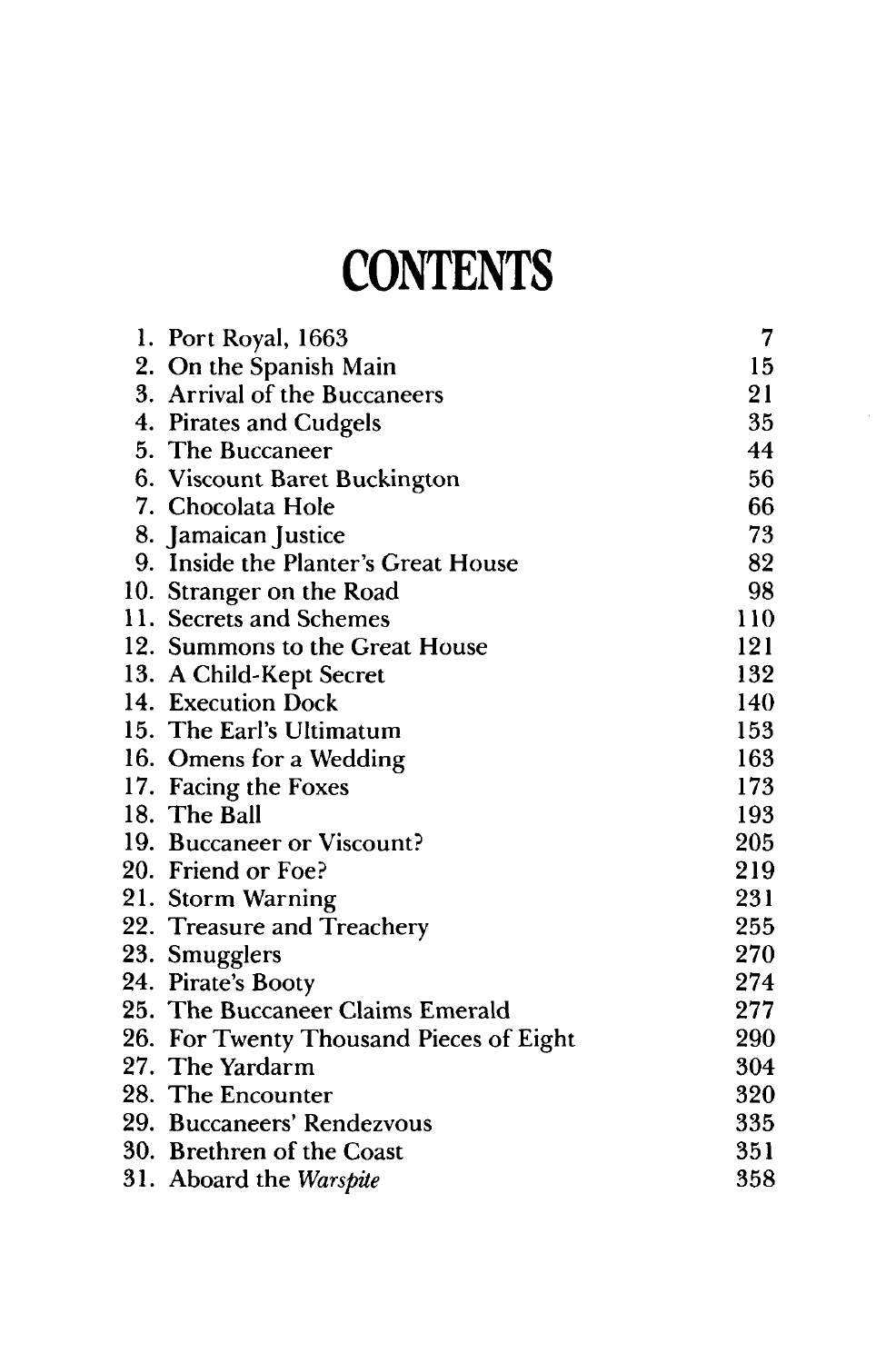## **CONTENTS**

| 1. Port Royal, 1663                     | $\overline{7}$ |
|-----------------------------------------|----------------|
| 2. On the Spanish Main                  | 15             |
| 3. Arrival of the Buccaneers            | 21             |
| 4. Pirates and Cudgels                  | 35             |
| 5. The Buccaneer                        | 44             |
| 6. Viscount Baret Buckington            | 56             |
| 7. Chocolata Hole                       | 66             |
| 8. Jamaican Justice                     | 73             |
| 9. Inside the Planter's Great House     | 82             |
| 10. Stranger on the Road                | 98             |
| 11. Secrets and Schemes                 | 110            |
| 12. Summons to the Great House          | 121            |
| 13. A Child-Kept Secret                 | 132            |
| 14. Execution Dock                      | 140            |
| 15. The Earl's Ultimatum                | 153            |
| 16. Omens for a Wedding                 | 163            |
| 17. Facing the Foxes                    | 173            |
| 18. The Ball                            | 193            |
| 19. Buccaneer or Viscount?              | 205            |
| 20. Friend or Foe?                      | 219            |
| 21. Storm Warning                       | 231            |
| 22. Treasure and Treachery              | 255            |
| 23. Smugglers                           | 270            |
| 24. Pirate's Booty                      | 274            |
| 25. The Buccaneer Claims Emerald        | 277            |
| 26. For Twenty Thousand Pieces of Eight | 290            |
| 27. The Yardarm                         | 304            |
| 28. The Encounter                       | 320            |
| 29. Buccaneers' Rendezvous              | 335            |
| 30. Brethren of the Coast               | 351            |
| 31. Aboard the Warspite                 | 358            |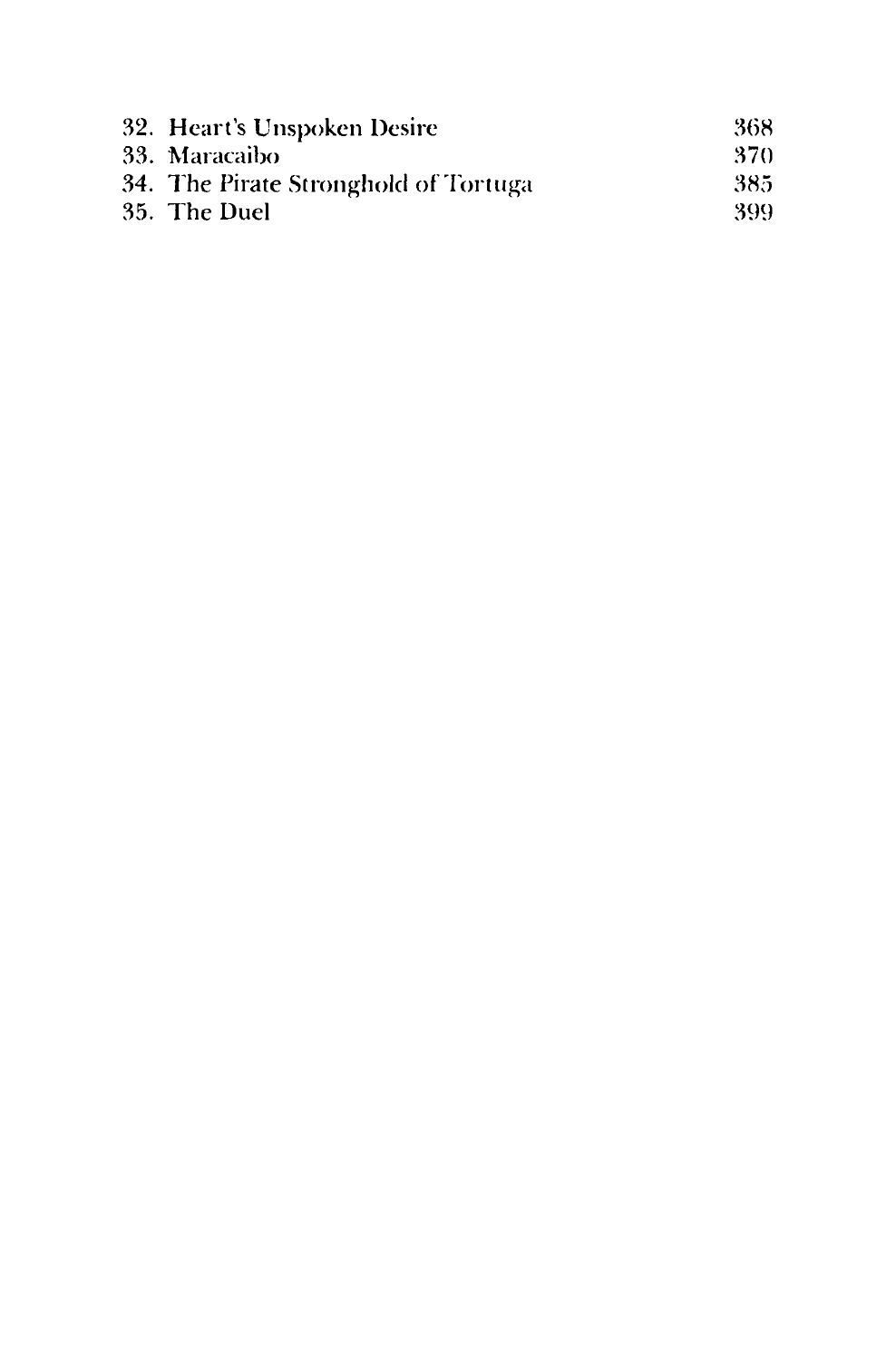| 32. Heart's Unspoken Desire          | 368.  |
|--------------------------------------|-------|
| 33. Maracaibo                        | -370- |
| 34. The Pirate Stronghold of Tortuga | -385. |
| 35. The Duel                         | -399- |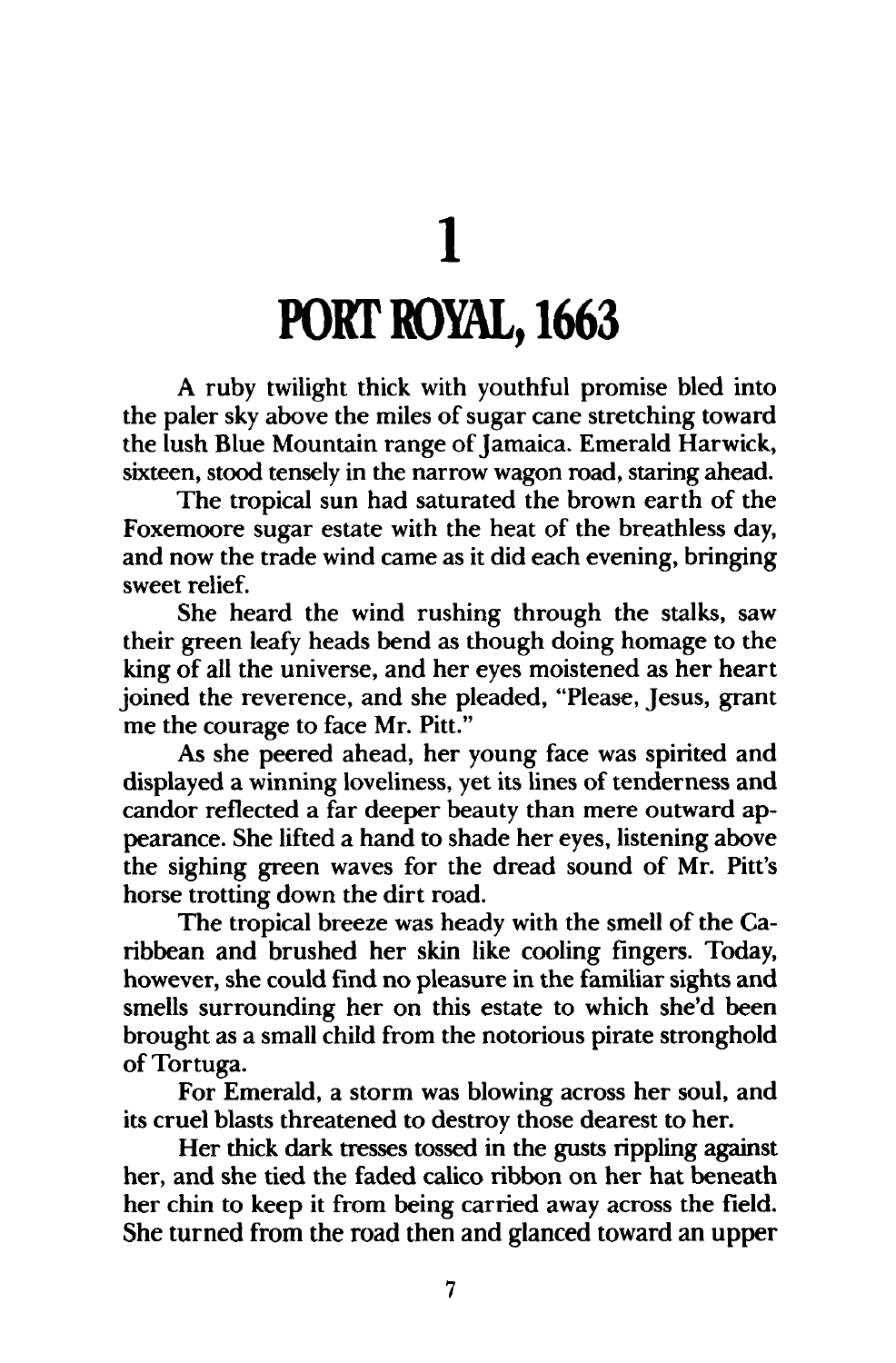## <span id="page-2-0"></span>1 **PORI'ROYAL, 1663**

A ruby twilight thick with youthful promise bled into the paler sky above the miles of sugar cane stretching toward the lush Blue Mountain range of Jamaica. Emerald Harwick, sixteen, stood tensely in the narrow wagon road, staring ahead.

The tropical sun had saturated the brown earth of the Foxemoore sugar estate with the heat of the breathless day, and now the trade wind came as it did each evening, bringing sweet relief.

She heard the wind rushing through the stalks, saw their green leafy heads bend as though doing homage to the king of all the universe, and her eyes moistened as her heart joined the reverence, and she pleaded, "Please, Jesus, grant me the courage to face Mr. Pitt."

As she peered ahead, her young face was spirited and displayed a winning loveliness, yet its lines of tenderness and candor reflected a far deeper beauty than mere outward appearance. She lifted a hand to shade her eyes, listening above the sighing green waves for the dread sound of Mr. Pitt's horse trotting down the dirt road.

The tropical breeze was heady with the smell of the Caribbean and brushed her skin like cooling fingers. Today, however, she could find no pleasure in the familiar sights and smells surrounding her on this estate to which she'd been brought as a small child from the notorious pirate stronghold of Tortuga.

For Emerald, a storm was blowing across her soul, and its cruel blasts threatened to destroy those dearest to her.

Her thick dark tresses tossed in the gusts rippling against her, and she tied the faded calico ribbon on her hat beneath her chin to keep it from being carried away across the field. She turned from the road then and glanced toward an upper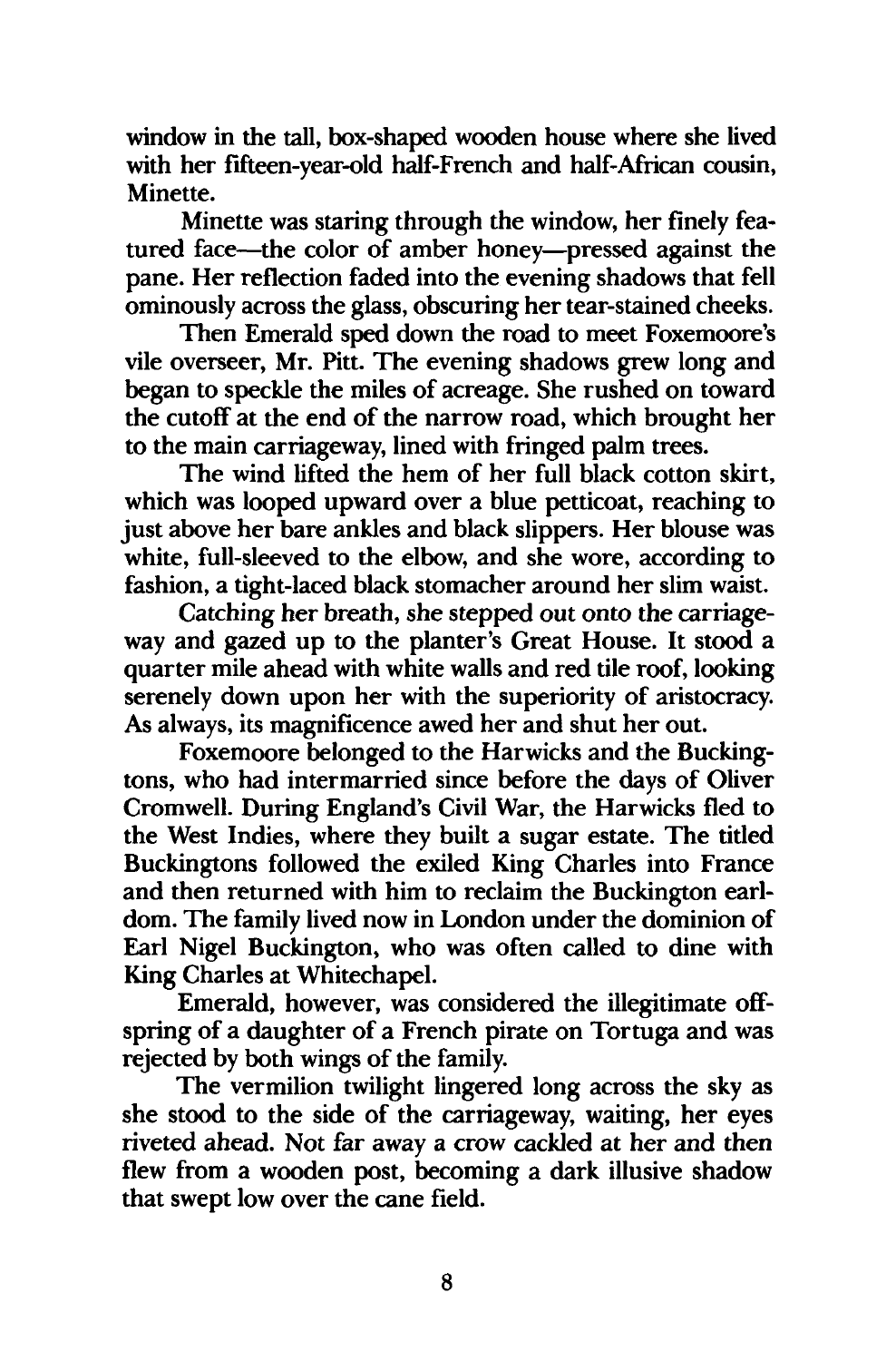window in the tall, box-shaped wooden house where she lived with her fifteen-year-old half-French and half-African cousin, Minette.

Minette was staring through the window, her finely featured face—the color of amber honey—pressed against the pane. Her reflection faded into the evening shadows that fell ominously across the glass, obscuring her tear-stained cheeks.

Then Emerald sped down the road to meet Foxemoore's vile overseer, Mr. Pitt. The evening shadows grew long and began to speckle the miles of acreage. She rushed on toward the cutoff at the end of the narrow road, which brought her to the main carriageway, lined with fringed palm trees.

The wind lifted the hem of her full black cotton skirt, which was looped upward over a blue petticoat, reaching to just above her bare ankles and black slippers. Her blouse was white, full-sleeved to the elbow, and she wore, according to fashion, a tight-laced black stomacher around her slim waist.

Catching her breath, she stepped out onto the carriageway and gazed up to the planter's Great House. It stood a quarter mile ahead with white walls and red tile roof, looking serenely down upon her with the superiority of aristocracy. As always, its magnificence awed her and shut her out.

Foxemoore belonged to the Harwicks and the Buckingtons, who had intermarried since before the days of Oliver Cromwell. During England's Civil War, the Harwicks fled to the West Indies, where they built a sugar estate. The titled Buckingtons followed the exiled King Charles into France and then returned with him to reclaim the Buckington earldom. The family lived now in London under the dominion of Earl Nigel Buckington, who was often called to dine with King Charles at Whitechapel.

Emerald, however, was considered the illegitimate offspring of a daughter of a French pirate on Tortuga and was rejected by both wings of the family.

The vermilion twilight lingered long across the sky as she stood to the side of the carriageway, waiting, her eyes riveted ahead. Not far away a crow cackled at her and then flew from a wooden post, becoming a dark illusive shadow that swept low over the cane field.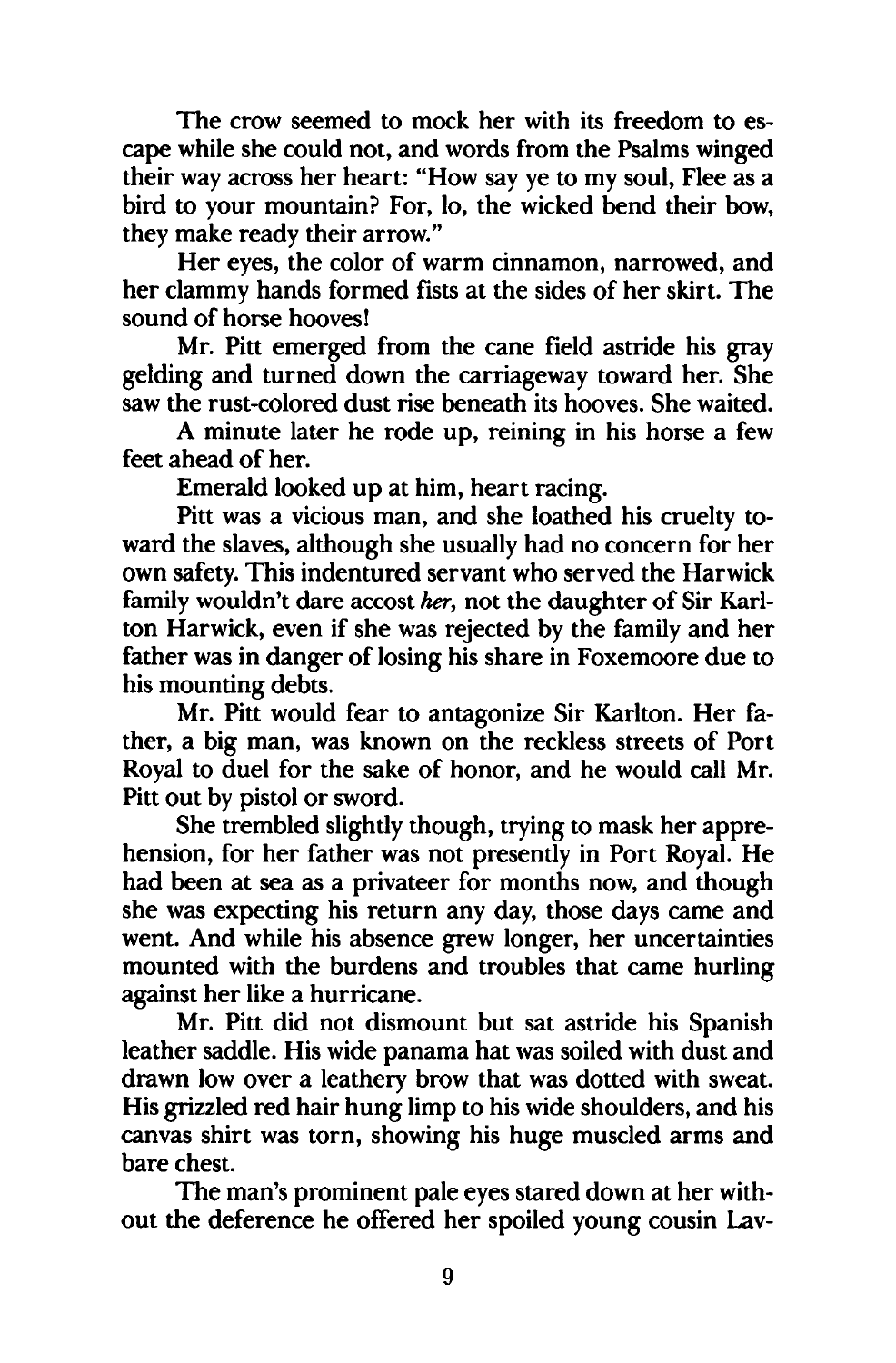The crow seemed to mock her with its freedom to escape while she could not, and words from the Psalms winged their way across her heart: "How say ye to my soul, Flee as a bird to your mountain? For, 10, the wicked bend their bow, they make ready their arrow."

Her eyes, the color of warm cinnamon, narrowed, and her clammy hands formed fists at the sides of her skirt. The sound of horse hooves!

Mr. Pitt emerged from the cane field astride his gray gelding and turned down the carriageway toward her. She saw the rust-colored dust rise beneath its hooves. She waited.

A minute later he rode up, reining in his horse a few feet ahead of her.

Emerald looked up at him, heart racing.

Pitt was a vicious man, and she loathed his cruelty toward the slaves, although she usually had no concern for her own safety. This indentured servant who served the Harwick family wouldn't dare accost *her,* not the daughter of Sir Karlton Harwick, even if she was rejected by the family and her father was in danger of losing his share in Foxemoore due to his mounting debts.

Mr. Pitt would fear to antagonize Sir Karlton. Her father, a big man, was known on the reckless streets of Port Royal to duel for the sake of honor, and he would call Mr. Pitt out by pistol or sword.

She trembled slightly though, trying to mask her apprehension, for her father was not presently in Port Royal. He had been at sea as a privateer for months now, and though she was expecting his return any day, those days came and went. And while his absence grew longer, her uncertainties mounted with the burdens and troubles that came hurling against her like a hurricane.

Mr. Pitt did not dismount but sat astride his Spanish leather saddle. His wide panama hat was soiled with dust and drawn low over a leathery brow that was dotted with sweat. His grizzled red hair hung limp to his wide shoulders, and his canvas shirt was torn, showing his huge muscled arms and bare chest.

The man's prominent pale eyes stared down at her without the deference he offered her spoiled young cousin Lav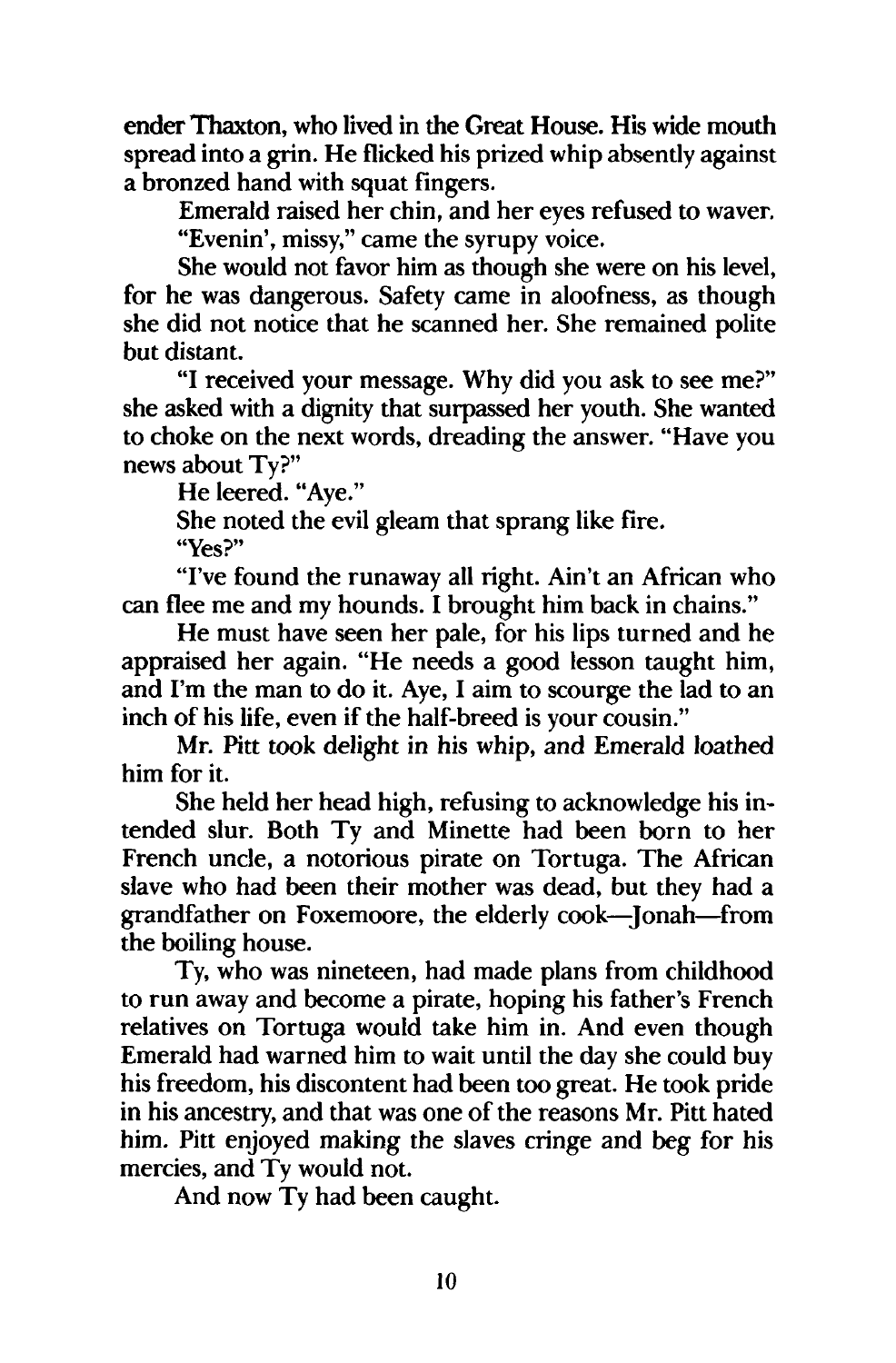ender Thaxton, who lived in the Great House. His wide mouth spread into a grin. He flicked his prized whip absently against a bronzed hand with squat fingers.

Emerald raised her chin, and her eyes refused to waver. "Evenin', missy," came the syrupy voice.

She would not favor him as though she were on his level, for he was dangerous. Safety came in aloofness, as though she did not notice that he scanned her. She remained polite but distant.

"I received your message. Why did you ask to see me?" she asked with a dignity that surpassed her youth. She wanted to choke on the next words, dreading the answer. "Have you news about Ty?"

He leered. "Aye."

She noted the evil gleam that sprang like fire.

"Yes?"

"I've found the runaway all right. Ain't an African who can flee me and my hounds. 1 brought him back in chains."

He must have seen her pale, for his lips turned and he appraised her again. "He needs a good lesson taught him, and I'm the man to do it. Aye, 1 aim to scourge the lad to an inch of his life, even if the half-breed is your cousin."

Mr. Pitt took delight in his whip, and Emerald loathed him for it.

She held her head high, refusing to acknowledge his intended slur. Both Ty and Minette had been born to her French unde, a notorious pirate on Tortuga. The African slave who had been their mother was dead, but they had a grandfather on Foxemoore, the elderly cook--Jonah-from the boiling house.

Ty, who was nineteen, had made plans from childhood to run away and become a pirate, hoping his father's French relatives on Tortuga would take him in. And even though Emerald had warned him to wait until the day she could buy his freedom, his discontent had been too great. He took pride in his ancestry, and that was one of the reasons Mr. Pitt hated him. Pitt enjoyed making the slaves cringe and beg for his mercies, and Ty would not.

And now Ty had been caught.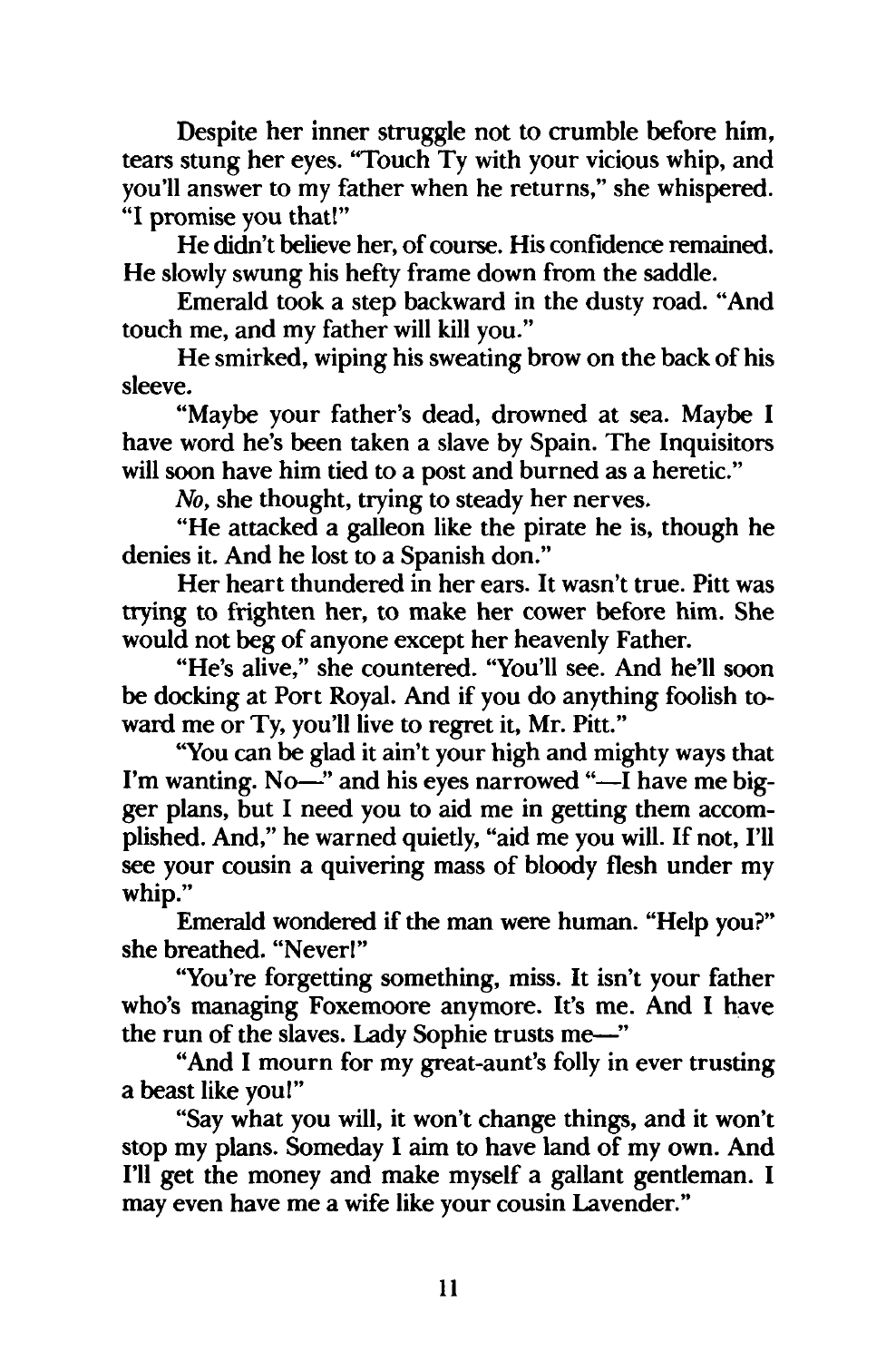Despite her inner struggle not to crumble before him, tears stung her eyes. "Touch Ty with your vicious whip, and you'll answer to my father when he returns," she whispered. "I promise you that'"

He didn't believe her, of course. His confidence remained. He slowly swung his hefty frame down from the saddle.

Emerald took a step backward in the dusty road. "And touch me, and my father will kill you."

He smirked, wiping his sweating brow on the back of his sleeve.

"Maybe your father's dead, drowned at sea. Maybe I have word he's been taken a slave by Spain. The Inquisitors will soon have him tied to a post and burned as a heretic."

*No,* she thought, trying to steady her nerves.

"He attacked a galleon like the pirate he is, though he denies it. And he lost to a Spanish don."

Her heart thundered in her ears. It wasn't true. Pitt was trying to frighten her, to make her cower before him. She would not beg of anyone except her heavenly Father.

"He's alive," she countered. "You'll see. And he'll soon be docking at Port Royal. And if you do anything foolish toward me or Ty, you'll live to regret it, Mr. Pitt."

"You can be glad it ain't your high and mighty ways that I'm wanting. No-" and his eyes narrowed " $\overline{-1}$  have me bigger plans, but I need you to aid me in getting them accomplished. And," he warned quietly, "aid me you will. If not, I'll see your cousin a quivering mass of bloody flesh under my whip."

Emerald wondered if the man were human. "Help you?" she breathed. "Neverl"

"You're forgetting something, miss. It isn't your father who's managing Foxemoore anymore. It's me. And I have the run of the slaves. Lady Sophie trusts me-"

"And I mourn for my great-aunt's folly in ever trusting a beast like youl"

"Say what you will, it won't change things, and it won't stop my plans. Someday I aim to have land of my own. And I'll get the money and make myself a gallant gentleman. I may even have me a wife like your cousin Lavender."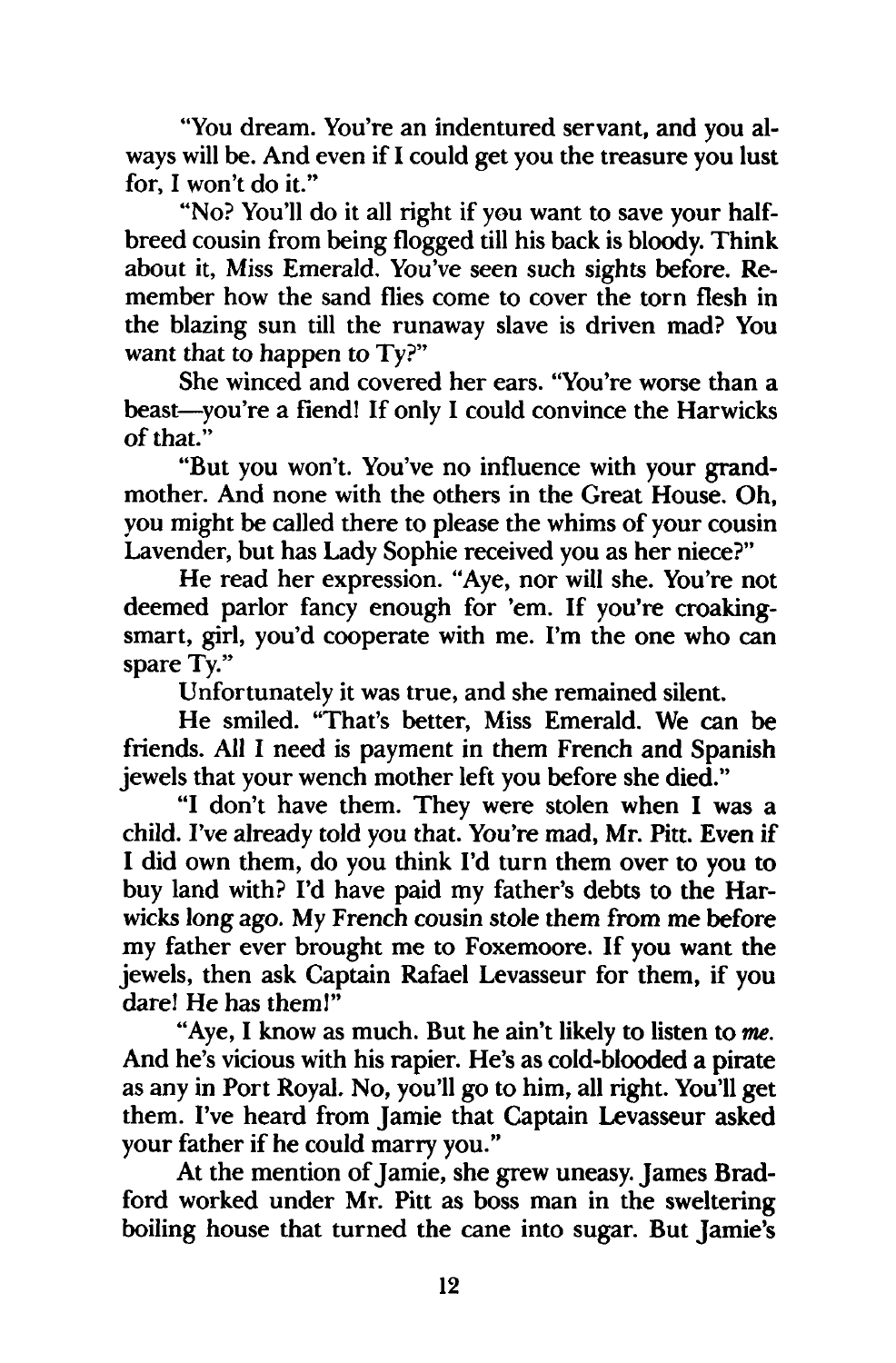"You dream. You're an indentured servant, and you always will be. And even if 1 could get you the treasure you lust for, 1 won't do it."

"No? You'll do it all right if you want to save your halfbreed cousin from being flogged till his back is bloody. Think about it, Miss Emerald. You've seen such sights before. Remember how the sand flies come to cover the torn flesh in the blazing sun till the runaway slave is driven mad? You want that to happen to Ty?"

She winced and covered her ears. "You're worse than a beast-you're a fiend! If only I could convince the Harwicks of that."

"But you won't. You've no influence with your grandmother. And none with the others in the Great House. Oh, you might be called there to please the whims of your cousin Lavender, but has Lady Sophie received you as her niece?"

He read her expression. "Aye, nor will she. You're not deemed parlor fancy enough for 'em. If you're croakingsmart, girl, you'd cooperate with me. I'm the one who can spare Ty."

Unfortunately it was true, and she remained silent.

He smiled. "That's better, Miss Emerald. We can be friends. All 1 need is payment in them French and Spanish jewels that your wench mother left you before she died."

"I don't have them. They were stolen when 1 was a child. I've already told you that. You're mad, Mr. Pitt. Even if 1 did own them, do you think I'd turn them over to you to buy land with? I'd have paid my father's debts to the Harwicks long ago. My French cousin stole them from me before my father ever brought me to Foxemoore. If you want the jewels, then ask Captain Rafael Levasseur for them, if you dare! He has them!"

"Aye, 1 know as much. But he ain't likely to listen to *me.*  And he's vicious with his rapier. He's as cold-blooded a pirate as any in Port Royal. No, you'll go to him, all right. You'll get them. I've heard from Jamie that Captain Levasseur asked your father if he could marry you."

At the mention of jamie, she grew uneasy. james Bradford worked under Mr. Pitt as boss man in the sweltering boiling house that turned the cane into sugar. But jamie's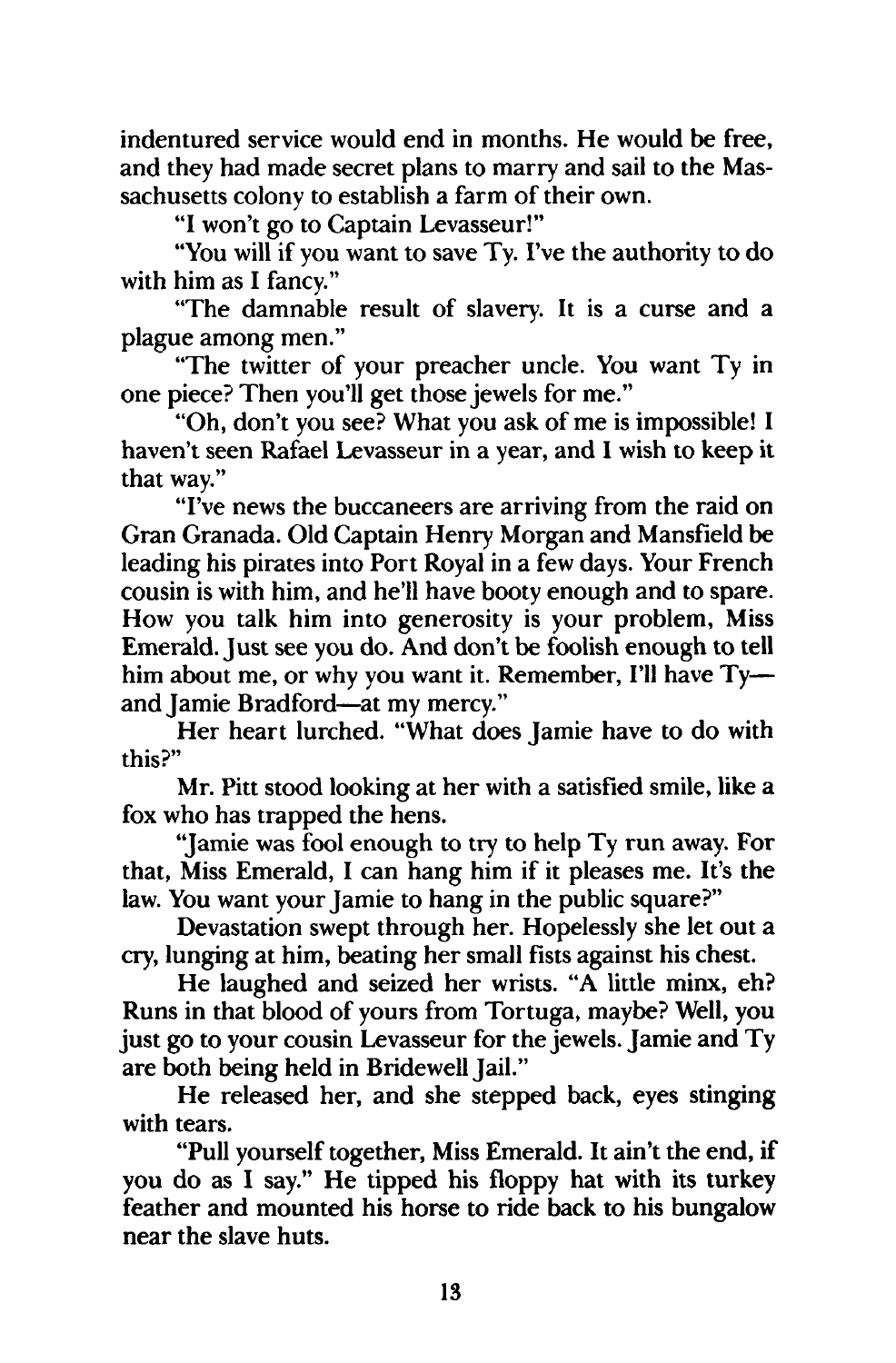indentured service would end in months. He would be free, and they had made secret plans to marry and sail to the Massachusetts colony to establish a farm of their own.

"I won't go to Captain Levasseur!"

"You will if you want to save Ty. I've the authority to do with him as 1 fancy."

"The damnable result of slavery. It is a curse and a plague among men."

"The twitter of your preacher uncle. You want Ty in one piece? Then you'll get those jewels for me."

"Oh, don't you see? What you ask of me is impossible! 1 haven't seen Rafael Levasseur in a year, and 1 wish to keep it that way."

"I've news the buccaneers are arriving from the raid on Gran Granada. Old Captain Henry Morgan and Mansfield be leading his pirates into Port Royal in a few days. Your French cousin is with him, and he'll have booty enough and to spare. How you talk him into generosity is your problem, Miss Emerald. Just see you do. And don't be foolish enough to tell him about me, or why you want it. Remember, I'll have Tyand Jamie Bradford-at my mercy."

Her heart lurched. "What does Jamie have to do with this?"

Mr. Pitt stood looking at her with a satisfied smile, like a fox who has trapped the hens.

"Jamie was fool enough to try to help Ty run away. For that, Miss Emerald, 1 can hang him if it pleases me. It's the law. You want your Jamie to hang in the public square?"

Devastation swept through her. Hopelessly she let out a cry, lunging at him, beating her small fists against his chest.

He laughed and seized her wrists. "A little minx, eh? Runs in that blood of yours from Tortuga, maybe? Well, you just go to your cousin Levasseur for the jewels. Jamie and Ty are both being held in Bridewell Jail."

He released her, and she stepped back, eyes stinging with tears.

"Pull yourself together, Miss Emerald. It ain't the end, if you do as 1 say." He tipped his floppy hat with its turkey feather and mounted his horse to ride back to his bungalow near the slave huts.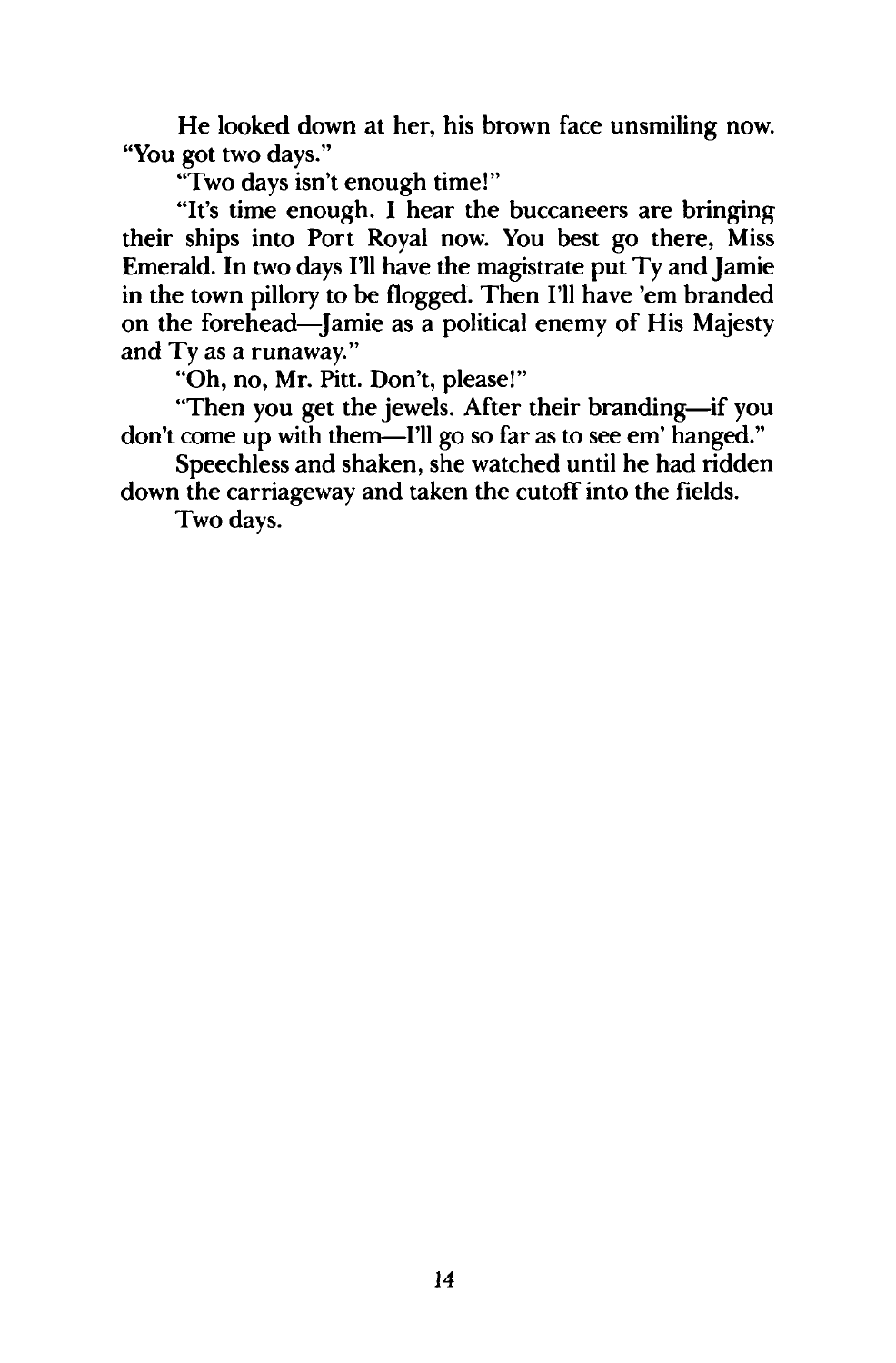He looked down at her, his brown face unsmiling now. "You got two days."

"Two days isn't enough time!"

"It's time enough. I hear the buccaneers are bringing their ships into Port Royal now. You best go there, Miss Emerald. In two days I'll have the magistrate put Ty and Jamie in the town pillory to be flogged. Then I'll have 'em branded on the forehead-Jamie as a political enemy of His Majesty and Ty as a runaway."

"Oh, no, Mr. Pitt. Don't, please!"

"Then you get the jewels. After their branding-if you don't come up with them-I'll go so far as to see em' hanged."

Speechless and shaken, she watched until he had ridden down the carriageway and taken the cutoff into the fields.

Two days.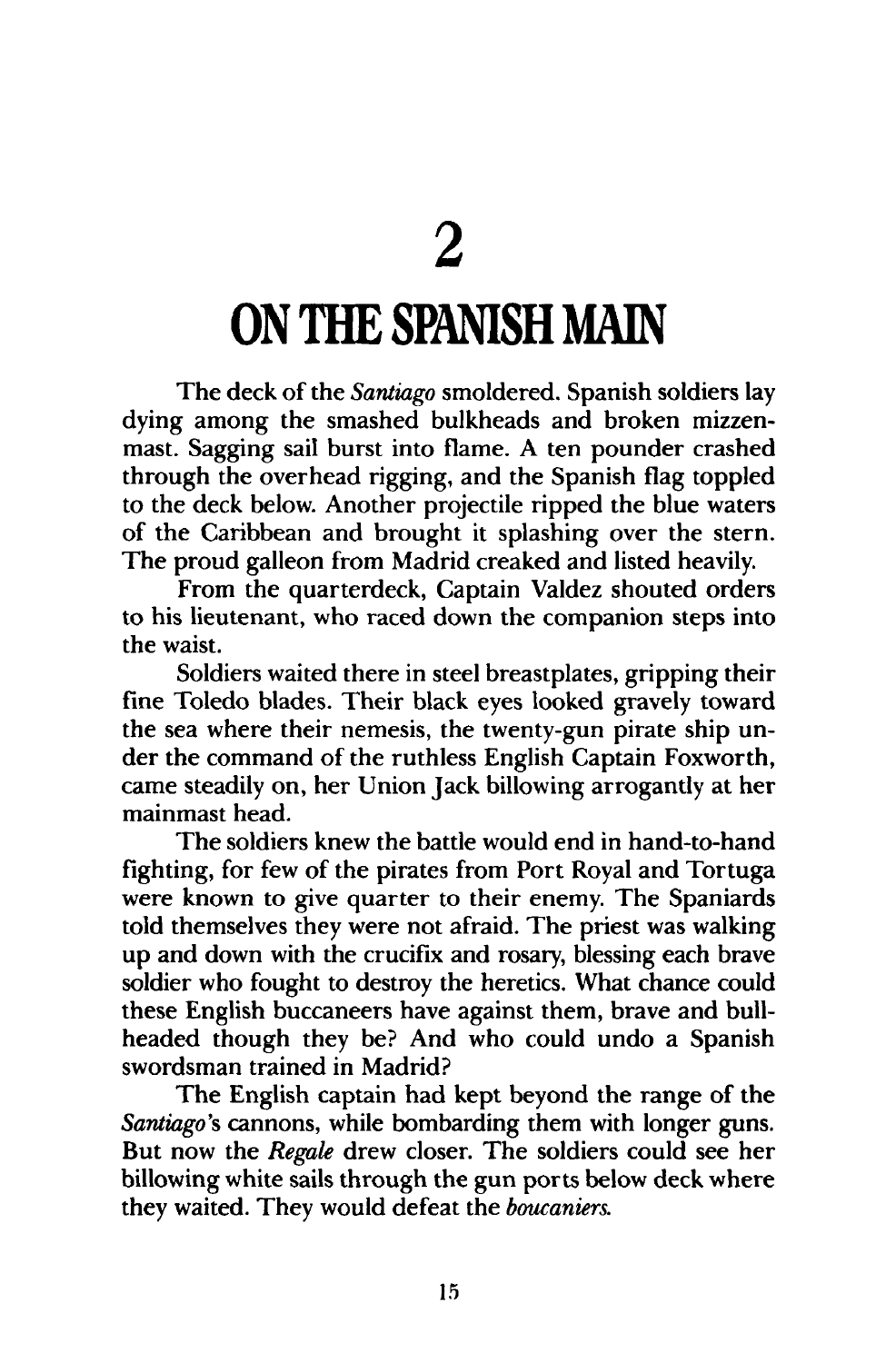## 2

## <span id="page-10-0"></span>**ON THE SPANISH MAIN**

The deck of the *Santiago* smoldered. Spanish soldiers lay dying among the smashed bulkheads and broken mizzenmast. Sagging sail burst into flame. A ten pounder crashed through the overhead rigging, and the Spanish flag toppled to the deck below. Another projectile ripped the blue waters of the Caribbean and brought it splashing over the stern. The proud galleon from Madrid creaked and listed heavily.

From the quarterdeck, Captain Valdez shouted orders to his lieutenant, who raced down the companion steps into the waist.

Soldiers waited there in steel breastplates, gripping their fine Toledo blades. Their black eyes looked gravely toward the sea where their nemesis, the twenty-gun pirate ship under the command of the ruthless English Captain Foxworth, came steadily on, her Union Jack billowing arrogantly at her mainmast head.

The soldiers knew the battle would end in hand-to-hand fighting, for few of the pirates from Port Royal and Tortuga were known to give quarter to their enemy. The Spaniards told themselves they were not afraid. The priest was walking up and down with the crucifix and rosary, blessing each brave soldier who fought to destroy the heretics. What chance could these English buccaneers have against them, brave and bullheaded though they be? And who could undo a Spanish swordsman trained in Madrid?

The English captain had kept beyond the range of the *Santiago's* cannons, while bombarding them with longer guns. But now the Regale drew closer. The soldiers could see her billowing white sails through the gun ports below deck where they waited. They would defeat the *boucaniers.*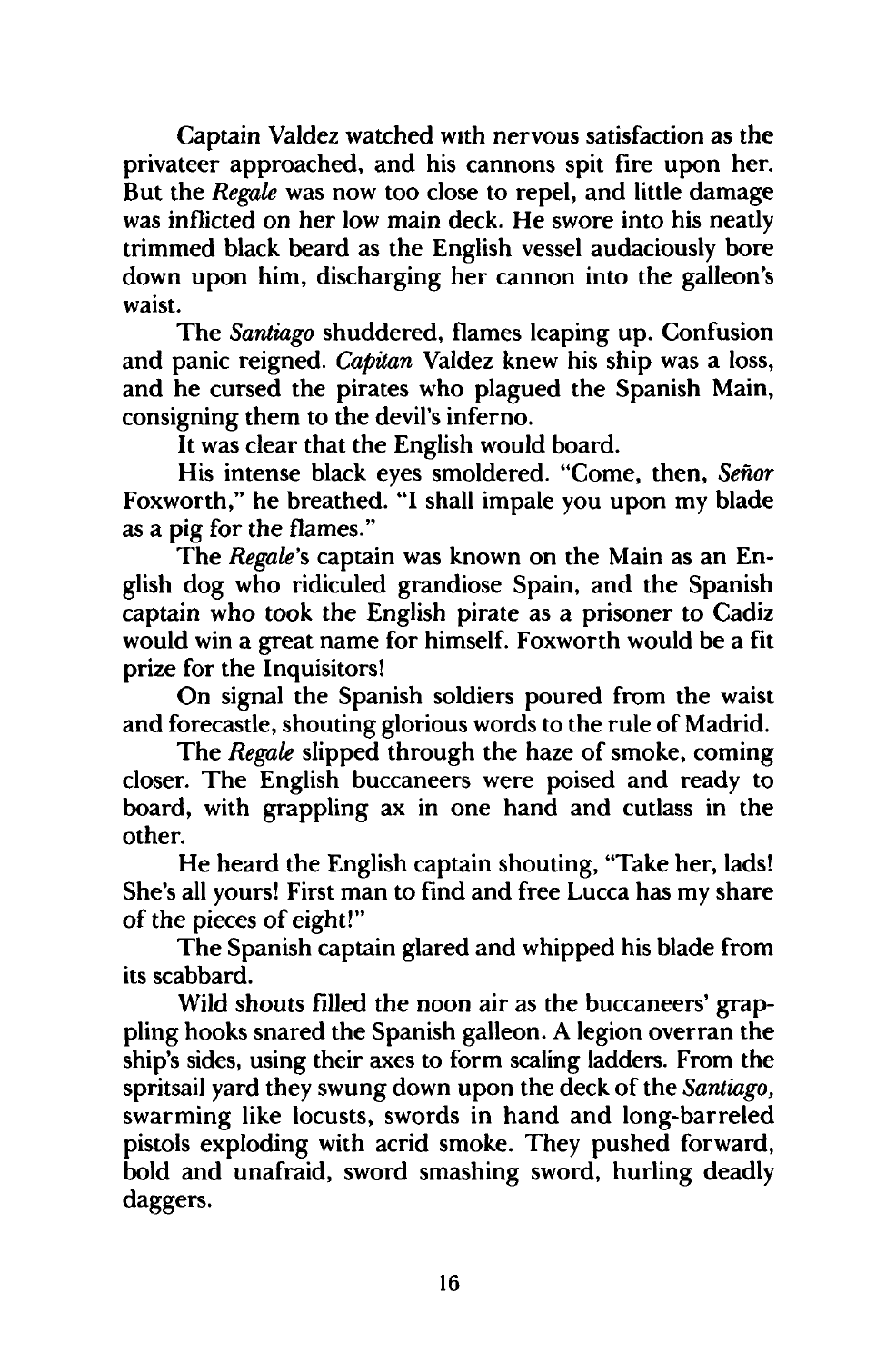Captain Valdez watched with nervous satisfaction as the privateer approached, and his cannons spit fire upon her. But the *Regale* was now too close to repel, and little damage was inflicted on her low main deck. He swore into his neatly trimmed black beard as the English vessel audaciously bore down upon him, discharging her cannon into the galleon's waist.

The *Santiago* shuddered, flames leaping up. Confusion and panic reigned. *Capitan* Valdez knew his ship was a loss, and he cursed the pirates who plagued the Spanish Main, consigning them to the devil's inferno.

It was clear that the English would board.

His intense black eyes smoldered. "Come, then, *Senor*  Foxworth," he breathed. "I shall impale you upon my blade as a pig for the flames."

The *Regale's* captain was known on the Main as an English dog who ridiculed grandiose Spain, and the Spanish captain who took the English pirate as a prisoner to Cadiz would win a great name for himself. Foxworth would be a fit prize for the Inquisitors!

On signal the Spanish soldiers poured from the waist and forecastle, shouting glorious words to the rule of Madrid.

The *Regale* slipped through the haze of smoke, coming closer. The English buccaneers were poised and ready to board, with grappling ax in one hand and cutlass in the other.

He heard the English captain shouting, "Take her, lads! She's all yours! First man to find and free Lucca has my share of the pieces of eight!"

The Spanish captain glared and whipped his blade from its scabbard.

Wild shouts filled the noon air as the buccaneers' grappling hooks snared the Spanish galleon. A legion overran the ship's sides, using their axes to form scaling ladders. From the spritsail yard they swung down upon the deck of the *Santiago,*  swarming like locusts, swords in hand and long-barreled pistols exploding with acrid smoke. They pushed forward, bold and unafraid, sword smashing sword, hurling deadly daggers.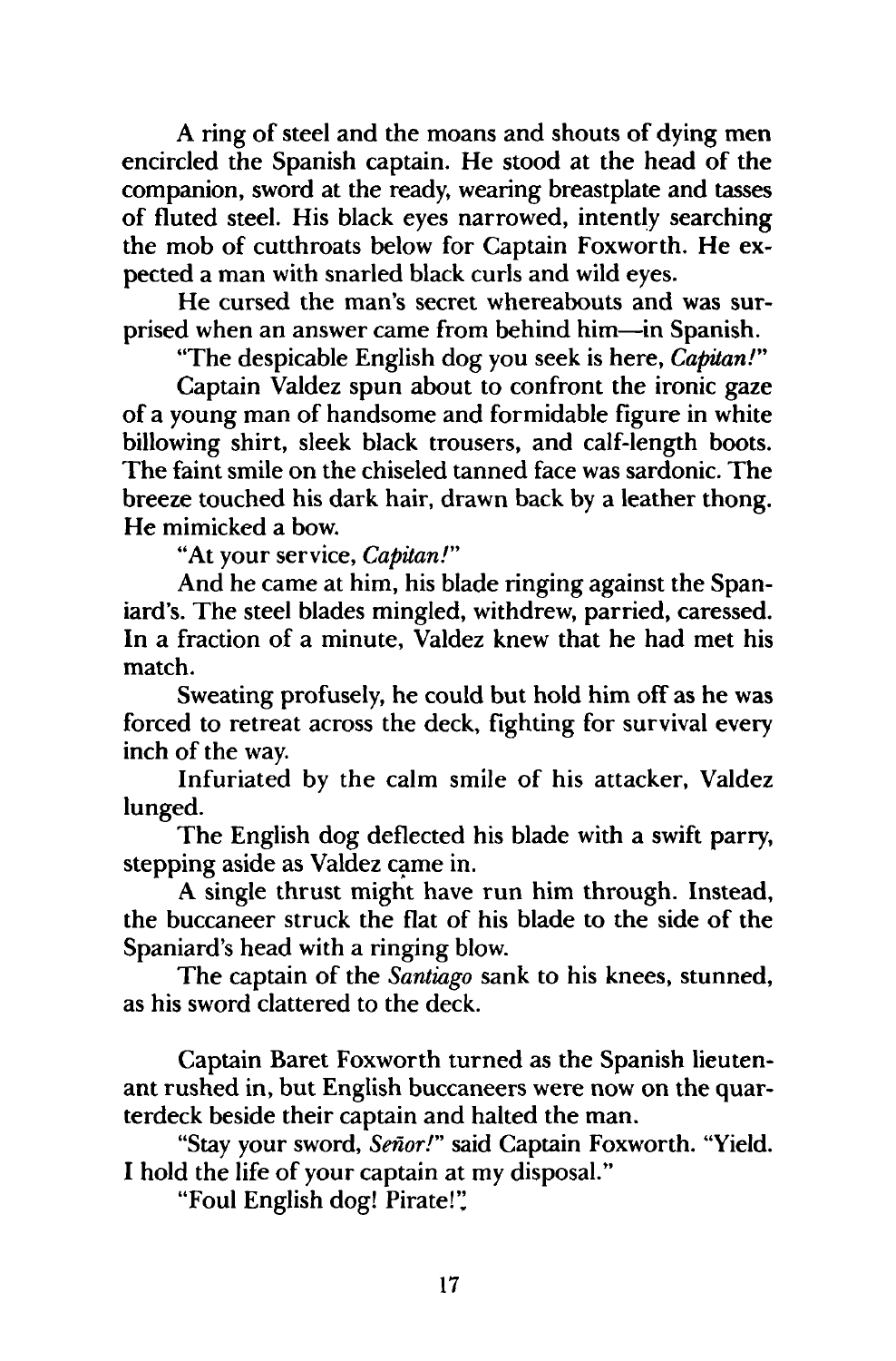A ring of steel and the moans and shouts of dying men encircled the Spanish captain. He stood at the head of the companion, sword at the ready, wearing breastplate and tasses of fluted steel. His black eyes narrowed, intently searching the mob of cutthroats below for Captain Foxworth. He expected a man with snarled black curls and wild eyes.

He cursed the man's secret whereabouts and was surprised when an answer came from behind him-in Spanish.

"The despicable English dog you seek is here, *Capitan!"* 

Captain Valdez spun about to confront the ironic gaze of a young man of handsome and formidable figure in white billowing shirt, sleek black trousers, and calf-length boots. The faint smile on the chiseled tanned face was sardonic. The breeze touched his dark hair, drawn back by a leather thong. He mimicked a bow.

"At your service, *Capitan!"* 

And he came at him, his blade ringing against the Spaniard's. The steel blades mingled, withdrew, parried, caressed. In a fraction of a minute, Valdez knew that he had met his match.

Sweating profusely, he could but hold him off as he was forced to retreat across the deck, fighting for survival every inch of the way.

Infuriated by the calm smile of his attacker, Valdez lunged.

The English dog deflected his blade with a swift parry, stepping aside as Valdez came in.

A single thrust might have run him through. Instead, the buccaneer struck the flat of his blade to the side of the Spaniard's head with a ringing blow.

The captain of the *Santiago* sank to his knees, stunned, as his sword clattered to the deck.

Captain Baret Foxworth turned as the Spanish lieutenant rushed in, but English buccaneers were now on the quarterdeck beside their captain and halted the man.

"Stay your sword, *Senor!"* said Captain Foxworth. "Yield. I hold the life of your captain at my disposal."

"Foul English dog! Pirate!';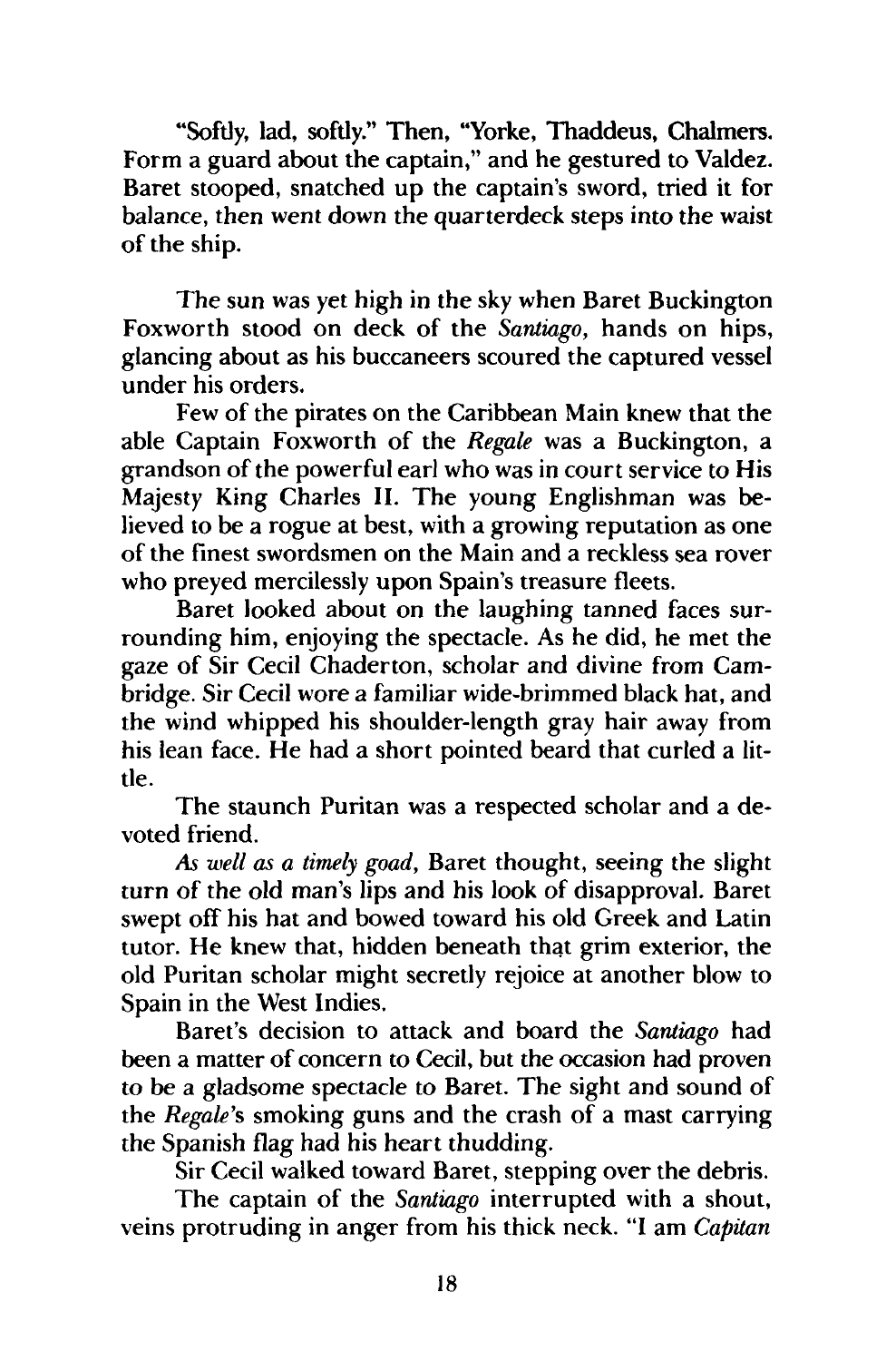"Softly, lad, softly." Then, "Yorke, Thaddeus, Chalmers. Form a guard about the captain," and he gestured to Valdez. Baret stooped, snatched up the captain's sword, tried it for balance, then went down the quarterdeck steps into the waist of the ship.

The sun was yet high in the sky when Baret Buckington Foxworth stood on deck of the *Santiago,* hands on hips, glancing about as his buccaneers scoured the captured vessel under his orders.

Few of the pirates on the Caribbean Main knew that the able Captain Foxworth of the *Regale* was a Buckington, a grandson of the powerful earl who was in court service to His Majesty King Charles II. The young Englishman was believed to be a rogue at best, with a growing reputation as one of the finest swordsmen on the Main and a reckless sea rover who preyed mercilessly upon Spain's treasure fleets.

Baret looked about on the laughing tanned faces surrounding him, enjoying the spectacle. As he did, he met the gaze of Sir Cecil Chaderton, scholar and divine from Cambridge. Sir Cecil wore a familiar wide-brimmed black hat, and the wind whipped his shoulder-length gray hair away from his lean face. He had a short pointed beard that curled a little.

The staunch Puritan was a respected scholar and a devoted friend.

As *well as a timely goad,* Baret thought, seeing the slight turn of the old man's lips and his look of disapproval. Baret swept off his hat and bowed toward his old Greek and Latin tutor. He knew that, hidden beneath that grim exterior, the old Puritan scholar might secretly rejoice at another blow to Spain in the West Indies.

Baret's decision to attack and board the *Santiago* had been a matter of concern to Cecil, but the occasion had proven to be a gladsome spectacle to Baret. The sight and sound of the *Regale's* smoking guns and the crash of a mast carrying the Spanish flag had his heart thudding.

Sir Cecil walked toward Baret, stepping over the debris.

The captain of the *Santiago* interrupted with a shout, veins protruding in anger from his thick neck. "I am *Capitan*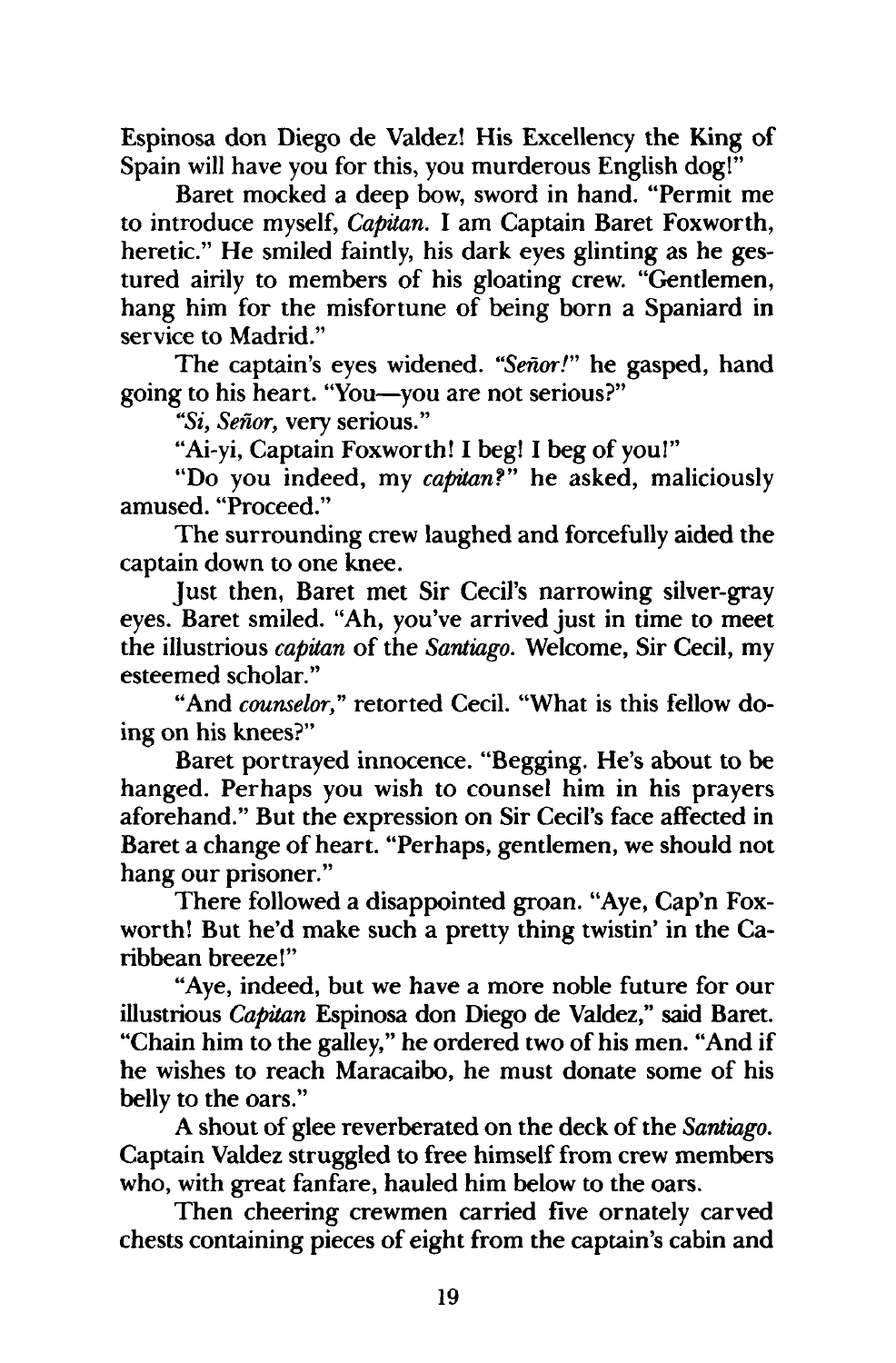Espinosa don Diego de Valdez! His Excellency the King of Spain will have you for this, you murderous English dog!"

Baret mocked a deep bow, sword in hand. "Permit me to introduce myself, *Capitan.* I am Captain Baret Foxworth, heretic." He smiled faintly, his dark eyes glinting as he gestured airily to members of his gloating crew. "Gentlemen, hang him for the misfortune of being born a Spaniard in service to Madrid."

The captain's eyes widened. *"Senor!"* he gasped, hand going to his heart. "You-you are not serious?"

*"Si, Senor,* very serious."

"Ai-yi, Captain Foxworth! I beg! I beg of you!"

"Do you indeed, my *capitan?"* he asked, maliciously amused. "Proceed."

The surrounding crew laughed and forcefully aided the captain down to one knee.

Just then, Baret met Sir Cecil's narrowing silver-gray eyes. Baret smiled. "Ah, you've arrived just in time to meet the illustrious *capitan* of the *Santiago.* Welcome, Sir Cecil, my esteemed scholar."

"And *counselor,"* retorted Cecil. "What is this fellow doing on his knees?"

Baret portrayed innocence. "Begging. He's about to be hanged. Perhaps you wish to counsel him in his prayers aforehand." But the expression on Sir Cecil's face affected in Baret a change of heart. "Perhaps, gentlemen, we should not hang our prisoner."

There followed a disappointed groan. "Aye, Cap'n Foxworth! But he'd make such a pretty thing twistin' in the Caribbean breeze!"

"Aye, indeed, but we have a more noble future for our illustrious *Capitan* Espinosa don Diego de Valdez," said Baret. "Chain him to the galley," he ordered two of his men. "And if he wishes to reach Maracaibo, he must donate some of his belly to the oars."

A shout of glee reverberated on the deck of the *Santiago.*  Captain Valdez struggled to free himself from crew members who, with great fanfare, hauled him below to the oars.

Then cheering crewmen carried five ornately carved chests containing pieces of eight from the captain's cabin and